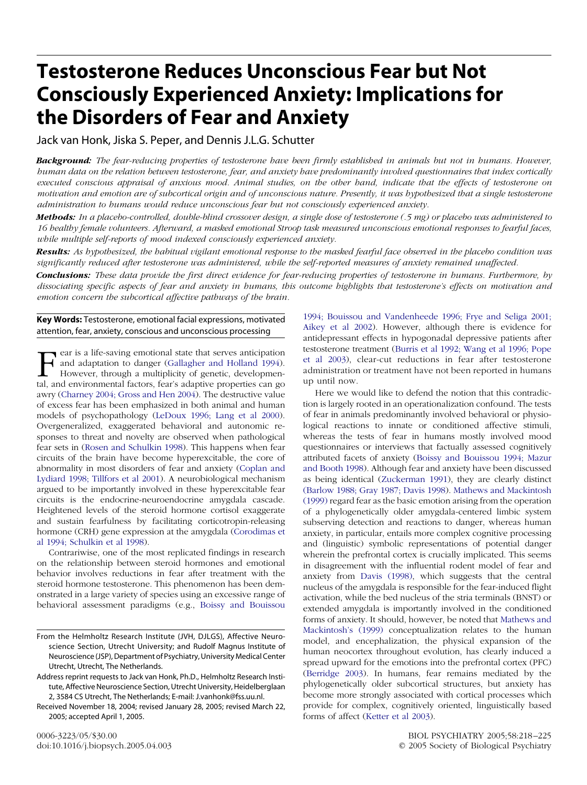# **Testosterone Reduces Unconscious Fear but Not Consciously Experienced Anxiety: Implications for the Disorders of Fear and Anxiety**

Jack van Honk, Jiska S. Peper, and Dennis J.L.G. Schutter

*Background: The fear-reducing properties of testosterone have been firmly established in animals but not in humans. However, human data on the relation between testosterone, fear, and anxiety have predominantly involved questionnaires that index cortically executed conscious appraisal of anxious mood. Animal studies, on the other hand, indicate that the effects of testosterone on motivation and emotion are of subcortical origin and of unconscious nature. Presently, it was hypothesized that a single testosterone administration to humans would reduce unconscious fear but not consciously experienced anxiety.*

*Methods: In a placebo-controlled, double-blind crossover design, a single dose of testosterone (.5 mg) or placebo was administered to 16 healthy female volunteers. Afterward, a masked emotional Stroop task measured unconscious emotional responses to fearful faces, while multiple self-reports of mood indexed consciously experienced anxiety.*

*Results: As hypothesized, the habitual vigilant emotional response to the masked fearful face observed in the placebo condition was significantly reduced after testosterone was administered, while the self-reported measures of anxiety remained unaffected.*

*Conclusions: These data provide the first direct evidence for fear-reducing properties of testosterone in humans. Furthermore, by dissociating specific aspects of fear and anxiety in humans, this outcome highlights that testosterone's effects on motivation and emotion concern the subcortical affective pathways of the brain.*

**Key Words:** Testosterone, emotional facial expressions, motivated attention, fear, anxiety, conscious and unconscious processing

Fear is a life-saving emotion[al](#page-6-0) [state](#page-6-0) [that](#page-6-0) [serves](#page-6-0) [anticipation](#page-6-0)<br>and adaptation to danger (Gallagher and Holland 1994).<br>However, through a multiplicity of genetic, developmen-<br>tal and environmental factors fear's adaptive pr and adaptation to danger (Gallagher and Holland 1994). However, through a multiplicity of genetic, developmental, and environmental factors, fear's adaptive properties can go awry [\(Charney](#page-6-0) 2004; [Gross](#page-6-0) and Hen 2004). The destructive value of excess fear has been emphasized in both animal and human models of psychopathology [\(LeDoux](#page-6-0) 1996; Lang et al [2000\)](#page-6-0). Overgeneralized, exaggerated behavioral and autonomic responses to threat and novelty are observed when pathological fear sets in (Rosen and [Schulkin](#page-7-0) 1998). This happens when fear circuits of the brain have become hyperexcitable, the core of abnormality in most disorders of fear and anxiety [\(Coplan](#page-6-0) and [Lydiard](#page-6-0) 1998; [Tillfors](#page-7-0) et al 2001). A neurobiological mechanism argued to be importantly involved in these hyperexcitable fear circuits is the endocrine-neuroendocrine amygdala cascade. Heightened levels of the steroid hormone cortisol exaggerate and sustain fearfulness by facilitating corticotropin-releasing hormone (CRH) gene expression at the amygdala [\(Corodimas](#page-6-0) et al [1994;](#page-6-0) [Schulkin](#page-7-0) et al 1998).

Contrariwise, one of the most replicated findings in research on the relationship between steroid hormones and emotional behavior involves reductions in fear after treatment with the steroid hormone testosterone. This phenomenon has been demonstrated in a large variety of species using an excessive range of behavioral assessment paradigms (e.g., Boissy and [Bouissou](#page-6-0)

[1994;](#page-6-0) Bouissou and [Vandenheede](#page-6-0) 1996; Frye and [Seliga](#page-6-0) 2001; [Aikey](#page-6-0) et al 2002). However, although there is evidence for antidepressant effects in hypogonadal depressive patients after testosterone treatment [\(Burris](#page-6-0) et al 1992; [Wang](#page-7-0) et al 1996; [Pope](#page-6-0) et al [2003\)](#page-6-0), clear-cut reductions in fear after testosterone administration or treatment have not been reported in humans up until now.

Here we would like to defend the notion that this contradiction is largely rooted in an operationalization confound. The tests of fear in animals predominantly involved behavioral or physiological reactions to innate or conditioned affective stimuli, whereas the tests of fear in humans mostly involved mood questionnaires or interviews that factually assessed cognitively attributed facets of anxiety (Boissy and [Bouissou](#page-6-0) 1994; [Mazur](#page-6-0) and [Booth](#page-6-0) 1998). Although fear and anxiety have been discussed as being identical [\(Zuckerman](#page-7-0) 1991), they are clearly distinct [\(Barlow](#page-6-0) 1988; Gray [1987;](#page-6-0) [Davis](#page-6-0) 1998). Mathews and [Mackintosh](#page-6-0) [\(1999\)](#page-6-0) regard fear as the basic emotion arising from the operation of a phylogenetically older amygdala-centered limbic system subserving detection and reactions to danger, whereas human anxiety, in particular, entails more complex cognitive processing and (linguistic) symbolic representations of potential danger wherein the prefrontal cortex is crucially implicated. This seems in disagreement with the influential rodent model of fear and anxiety from Davis [\(1998\),](#page-6-0) which suggests that the central nucleus of the amygdala is responsible for the fear-induced flight activation, while the bed nucleus of the stria terminals (BNST) or extended amygdala is importantly involved in the conditioned forms of anxiety. It should, however, be noted that [Mathews](#page-6-0) and [Mackintosh's](#page-6-0) (1999) conceptualization relates to the human model, and encephalization, the physical expansion of the human neocortex throughout evolution, has clearly induced a spread upward for the emotions into the prefrontal cortex (PFC) [\(Berridge](#page-6-0) 2003). In humans, fear remains mediated by the phylogenetically older subcortical structures, but anxiety has become more strongly associated with cortical processes which provide for complex, cognitively oriented, linguistically based forms of affect [\(Ketter](#page-6-0) et al 2003).

From the Helmholtz Research Institute (JVH, DJLGS), Affective Neuroscience Section, Utrecht University; and Rudolf Magnus Institute of Neuroscience (JSP), Department of Psychiatry, University Medical Center Utrecht, Utrecht, The Netherlands.

Address reprint requests to Jack van Honk, Ph.D., Helmholtz Research Institute, Affective Neuroscience Section, Utrecht University, Heidelberglaan 2, 3584 CS Utrecht, The Netherlands; E-mail: J.vanhonk@fss.uu.nl.

Received November 18, 2004; revised January 28, 2005; revised March 22, 2005; accepted April 1, 2005.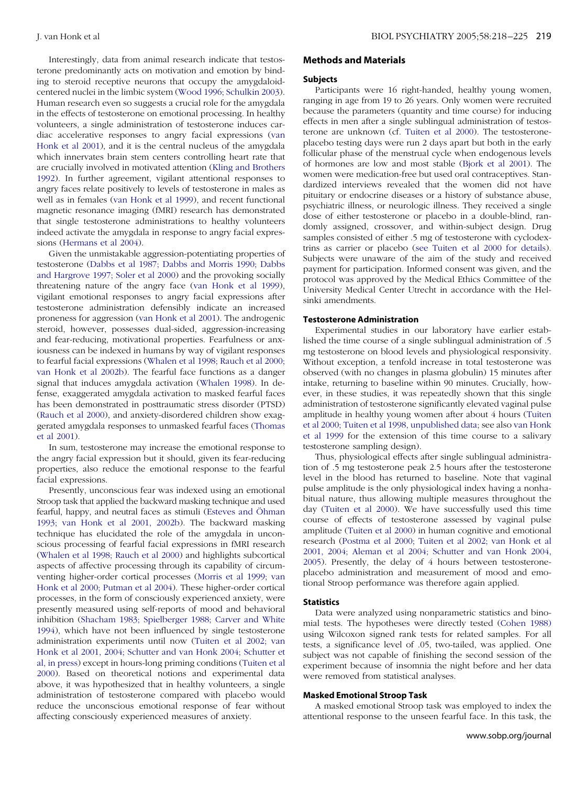Interestingly, data from animal research indicate that testosterone predominantly acts on motivation and emotion by binding to steroid receptive neurons that occupy the amygdaloidcentered nuclei in the limbic system [\(Wood](#page-7-0) 1996; [Schulkin](#page-7-0) 2003). Human research even so suggests a crucial role for the amygdala in the effects of testosterone on emotional processing. In healthy volunteers, a single administration of testosterone induces cardiac accelerative responses to angry facial expressions [\(van](#page-7-0) [Honk](#page-7-0) et al 2001), and it is the central nucleus of the amygdala which innervates brain stem centers controlling heart rate that are crucially involved in motivated attention (Kling and [Brothers](#page-6-0) [1992\)](#page-6-0). In further agreement, vigilant attentional responses to angry faces relate positively to levels of testosterone in males as well as in females (van [Honk](#page-7-0) et al 1999), and recent functional magnetic resonance imaging (fMRI) research has demonstrated that single testosterone administrations to healthy volunteers indeed activate the amygdala in response to angry facial expressions [\(Hermans](#page-6-0) et al 2004).

Given the unmistakable aggression-potentiating properties of testosterone [\(Dabbs](#page-6-0) et al 1987; [Dabbs](#page-6-0) and Morris 1990; [Dabbs](#page-6-0) and [Hargrove](#page-6-0) 1997; [Soler](#page-7-0) et al 2000) and the provoking socially threatening nature of the angry face (van Honk et al [1999\),](#page-7-0) vigilant emotional responses to angry facial expressions after testosterone administration defensibly indicate an increased proneness for aggression (van [Honk](#page-7-0) et al 2001). The androgenic steroid, however, possesses dual-sided, aggression-increasing and fear-reducing, motivational properties. Fearfulness or anxiousness can be indexed in humans by way of vigilant responses to fearful facial expressions [\(Whalen](#page-7-0) et al 1998; [Rauch](#page-7-0) et al 2000; van Honk et al [2002b\).](#page-7-0) The fearful face functions as a danger signal that induces amygdala activation [\(Whalen](#page-7-0) 1998). In defense, exaggerated amygdala activation to masked fearful faces has been demonstrated in posttraumatic stress disorder (PTSD) [\(Rauch](#page-7-0) et al 2000), and anxiety-disordered children show exaggerated amygdala responses to unmasked fearful faces [\(Thomas](#page-7-0) et al [2001\)](#page-7-0).

In sum, testosterone may increase the emotional response to the angry facial expression but it should, given its fear-reducing properties, also reduce the emotional response to the fearful facial expressions.

Presently, unconscious fear was indexed using an emotional Stroop task that applied the backward masking technique and used fearful, happy, and neutral faces as stimuli [\(Esteves](#page-6-0) and Öhman [1993;](#page-6-0) van [Honk](#page-7-0) et al 2001, [2002b\).](#page-7-0) The backward masking technique has elucidated the role of the amygdala in unconscious processing of fearful facial expressions in fMRI research [\(Whalen](#page-7-0) et al 1998; [Rauch](#page-7-0) et al 2000) and highlights subcortical aspects of affective processing through its capability of circumventing higher-order cortical processes [\(Morris](#page-6-0) et al 1999; [van](#page-7-0) [Honk](#page-7-0) et al 2000; [Putman](#page-7-0) et al 2004). These higher-order cortical processes, in the form of consciously experienced anxiety, were presently measured using self-reports of mood and behavioral inhibition [\(Shacham](#page-7-0) 1983; [Spielberger](#page-7-0) 1988; [Carver](#page-6-0) and White [1994\)](#page-6-0), which have not been influenced by single testosterone administration experiments until now [\(Tuiten](#page-7-0) et al 2002; [van](#page-7-0) [Honk](#page-7-0) et al 2001, 2004; [Schutter](#page-7-0) and van Honk 2004; [Schutter](#page-7-0) et al, in [press\)](#page-7-0) except in hours-long priming conditions [\(Tuiten](#page-7-0) et al [2000\)](#page-7-0). Based on theoretical notions and experimental data above, it was hypothesized that in healthy volunteers, a single administration of testosterone compared with placebo would reduce the unconscious emotional response of fear without affecting consciously experienced measures of anxiety.

# **Methods and Materials**

#### **Subjects**

Participants were 16 right-handed, healthy young women, ranging in age from 19 to 26 years. Only women were recruited because the parameters (quantity and time course) for inducing effects in men after a single sublingual administration of testosterone are unknown (cf. [Tuiten](#page-7-0) et al 2000). The testosteroneplacebo testing days were run 2 days apart but both in the early follicular phase of the menstrual cycle when endogenous levels of hormones are low and most stable [\(Bjork](#page-6-0) et al 2001). The women were medication-free but used oral contraceptives. Standardized interviews revealed that the women did not have pituitary or endocrine diseases or a history of substance abuse, psychiatric illness, or neurologic illness. They received a single dose of either testosterone or placebo in a double-blind, randomly assigned, crossover, and within-subject design. Drug samples consisted of either .5 mg of testosterone with cyclodextrins as carrier or placebo (see Tuiten et al 2000 for [details\)](#page-7-0). Subjects were unaware of the aim of the study and received payment for participation. Informed consent was given, and the protocol was approved by the Medical Ethics Committee of the University Medical Center Utrecht in accordance with the Helsinki amendments.

# **Testosterone Administration**

Experimental studies in our laboratory have earlier established the time course of a single sublingual administration of .5 mg testosterone on blood levels and physiological responsivity. Without exception, a tenfold increase in total testosterone was observed (with no changes in plasma globulin) 15 minutes after intake, returning to baseline within 90 minutes. Crucially, however, in these studies, it was repeatedly shown that this single administration of testosterone significantly elevated vaginal pulse amplitude in healthy young women after about 4 hours [\(Tuiten](#page-7-0) et al [2000;](#page-7-0) Tuiten et al 1998, [unpublished](#page-7-0) data; see also van [Honk](#page-7-0) et al [1999](#page-7-0) for the extension of this time course to a salivary testosterone sampling design).

Thus, physiological effects after single sublingual administration of .5 mg testosterone peak 2.5 hours after the testosterone level in the blood has returned to baseline. Note that vaginal pulse amplitude is the only physiological index having a nonhabitual nature, thus allowing multiple measures throughout the day [\(Tuiten](#page-7-0) et al 2000). We have successfully used this time course of effects of testosterone assessed by vaginal pulse amplitude [\(Tuiten](#page-7-0) et al 2000) in human cognitive and emotional research [\(Postma](#page-7-0) et al 2000; [Tuiten](#page-7-0) et al 2002; van [Honk](#page-7-0) et al [2001,](#page-7-0) [2004;](#page-7-0) [Aleman](#page-6-0) et al 2004; [Schutter](#page-7-0) and van Honk 2004, [2005\)](#page-7-0). Presently, the delay of 4 hours between testosteroneplacebo administration and measurement of mood and emotional Stroop performance was therefore again applied.

## **Statistics**

Data were analyzed using nonparametric statistics and binomial tests. The hypotheses were directly tested [\(Cohen](#page-6-0) 1988) using Wilcoxon signed rank tests for related samples. For all tests, a significance level of .05, two-tailed, was applied. One subject was not capable of finishing the second session of the experiment because of insomnia the night before and her data were removed from statistical analyses.

## **Masked Emotional Stroop Task**

A masked emotional Stroop task was employed to index the attentional response to the unseen fearful face. In this task, the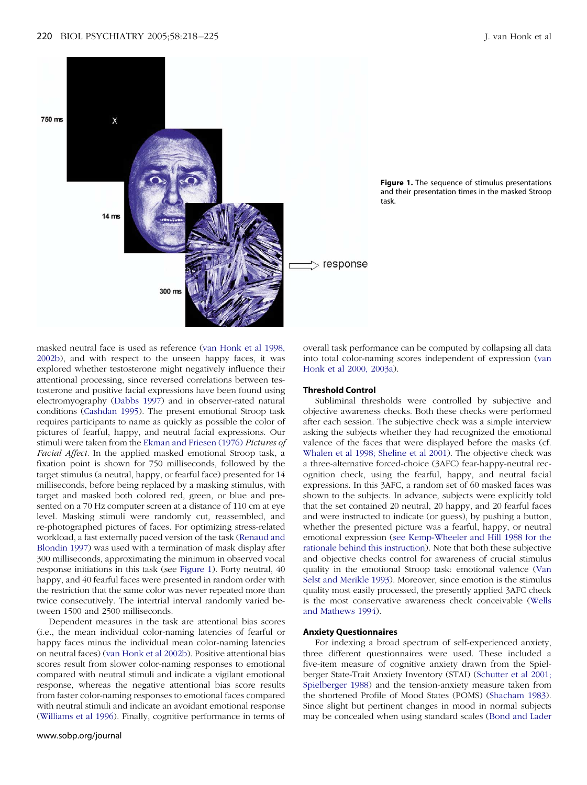

**Figure 1.** The sequence of stimulus presentations and their presentation times in the masked Stroop task.

masked neutral face is used as reference (van [Honk](#page-7-0) et al 1998, [2002b\),](#page-7-0) and with respect to the unseen happy faces, it was explored whether testosterone might negatively influence their attentional processing, since reversed correlations between testosterone and positive facial expressions have been found using electromyography [\(Dabbs](#page-6-0) 1997) and in observer-rated natural conditions [\(Cashdan](#page-6-0) 1995). The present emotional Stroop task requires participants to name as quickly as possible the color of pictures of fearful, happy, and neutral facial expressions. Our stimuli were taken from the Ekman and [Friesen](#page-6-0) (1976) *Pictures of Facial Affect.* In the applied masked emotional Stroop task, a fixation point is shown for 750 milliseconds, followed by the target stimulus (a neutral, happy, or fearful face) presented for 14 milliseconds, before being replaced by a masking stimulus, with target and masked both colored red, green, or blue and presented on a 70 Hz computer screen at a distance of 110 cm at eye level. Masking stimuli were randomly cut, reassembled, and re-photographed pictures of faces. For optimizing stress-related workload, a fast externally paced version of the task [\(Renaud](#page-7-0) and [Blondin](#page-7-0) 1997) was used with a termination of mask display after 300 milliseconds, approximating the minimum in observed vocal response initiations in this task (see Figure 1). Forty neutral, 40 happy, and 40 fearful faces were presented in random order with the restriction that the same color was never repeated more than twice consecutively. The intertrial interval randomly varied between 1500 and 2500 milliseconds.

Dependent measures in the task are attentional bias scores (i.e., the mean individual color-naming latencies of fearful or happy faces minus the individual mean color-naming latencies on neutral faces) (van Honk et al [2002b\).](#page-7-0) Positive attentional bias scores result from slower color-naming responses to emotional compared with neutral stimuli and indicate a vigilant emotional response, whereas the negative attentional bias score results from faster color-naming responses to emotional faces compared with neutral stimuli and indicate an avoidant emotional response [\(Williams](#page-7-0) et al 1996). Finally, cognitive performance in terms of overall task performance can be computed by collapsing all data into total color-naming scores independent of expression [\(van](#page-7-0) Honk et al 2000, [2003a\).](#page-7-0)

#### **Threshold Control**

Subliminal thresholds were controlled by subjective and objective awareness checks. Both these checks were performed after each session. The subjective check was a simple interview asking the subjects whether they had recognized the emotional valence of the faces that were displayed before the masks (cf. [Whalen](#page-7-0) et al 1998; [Sheline](#page-7-0) et al 2001). The objective check was a three-alternative forced-choice (3AFC) fear-happy-neutral recognition check, using the fearful, happy, and neutral facial expressions. In this 3AFC, a random set of 60 masked faces was shown to the subjects. In advance, subjects were explicitly told that the set contained 20 neutral, 20 happy, and 20 fearful faces and were instructed to indicate (or guess), by pushing a button, whether the presented picture was a fearful, happy, or neutral emotional expression (see [Kemp-Wheeler](#page-6-0) and Hill 1988 for the rationale behind this [instruction\)](#page-6-0). Note that both these subjective and objective checks control for awareness of crucial stimulus quality in the emotional Stroop task: emotional valence [\(Van](#page-7-0) Selst and [Merikle](#page-7-0) 1993). Moreover, since emotion is the stimulus quality most easily processed, the presently applied 3AFC check is the most conservative awareness check conceivable [\(Wells](#page-7-0) and [Mathews](#page-7-0) 1994).

## **Anxiety Questionnaires**

For indexing a broad spectrum of self-experienced anxiety, three different questionnaires were used. These included a five-item measure of cognitive anxiety drawn from the Spielberger State-Trait Anxiety Inventory (STAI) [\(Schutter](#page-7-0) et al 2001; [Spielberger](#page-7-0) 1988) and the tension-anxiety measure taken from the shortened Profile of Mood States (POMS) [\(Shacham](#page-7-0) 1983). Since slight but pertinent changes in mood in normal subjects may be concealed when using standard scales (Bond and Lader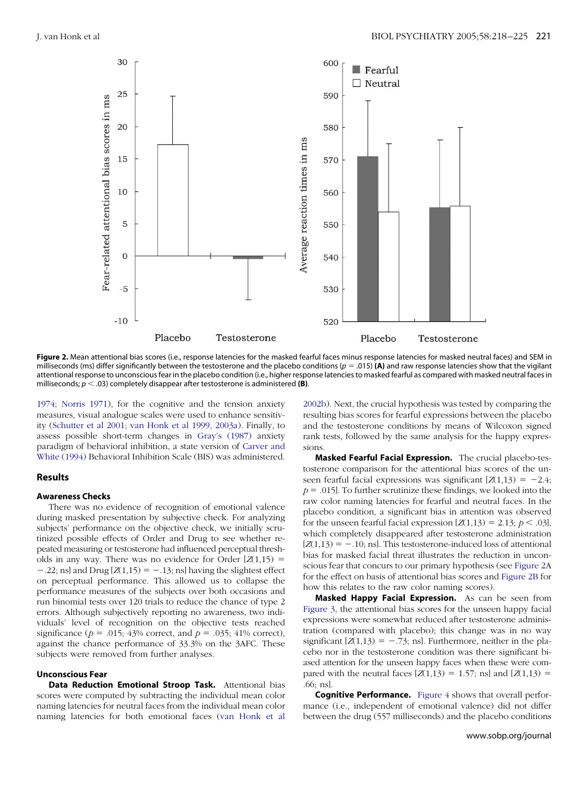<span id="page-3-0"></span>

Figure 2. Mean attentional bias scores (i.e., response latencies for the masked fearful faces minus response latencies for masked neutral faces) and SEM in milliseconds (ms) differ significantly between the testosterone and the placebo conditions ( $p = .015$ ) **(A)** and raw response latencies show that the vigilant attentional response to unconscious fear in the placebo condition (i.e., higher response latencies to masked fearful as compared with masked neutral faces in milliseconds;  $p < .03$ ) completely disappear after testosterone is administered **(B)**.

[1974;](#page-6-0) [Norris](#page-6-0) 1971), for the cognitive and the tension anxiety measures, visual analogue scales were used to enhance sensitivity [\(Schutter](#page-7-0) et al 2001; van Honk et al 1999, [2003a\).](#page-7-0) Finally, to assess possible short-term changes in Gray's [\(1987\)](#page-6-0) anxiety paradigm of behavioral inhibition, a state version of [Carver](#page-6-0) and White [\(1994\)](#page-7-0) Behavioral Inhibition Scale (BIS) was administered.

# **Results**

## **Awareness Checks**

There was no evidence of recognition of emotional valence during masked presentation by subjective check. For analyzing subjects' performance on the objective check, we initially scrutinized possible effects of Order and Drug to see whether repeated measuring or testosterone had influenced perceptual thresholds in any way. There was no evidence for Order  $[Z(1,15)]$  $-.22$ ; ns] and Drug  $[Z(1,15) = -.13$ ; ns] having the slightest effect on perceptual performance. This allowed us to collapse the performance measures of the subjects over both occasions and run binomial tests over 120 trials to reduce the chance of type 2 errors. Although subjectively reporting no awareness, two individuals' level of recognition on the objective tests reached significance ( $p = .015$ ; 43% correct, and  $p = .035$ ; 41% correct), against the chance performance of 33.3% on the 3AFC. These subjects were removed from further analyses.

## **Unconscious Fear**

**Data Reduction Emotional Stroop Task.** Attentional bias scores were computed by subtracting the individual mean color naming latencies for neutral faces from the individual mean color naming latencies for both emotional faces (van [Honk](#page-7-0) et al

[2002b\).](#page-7-0) Next, the crucial hypothesis was tested by comparing the resulting bias scores for fearful expressions between the placebo and the testosterone conditions by means of Wilcoxon signed rank tests, followed by the same analysis for the happy expressions.

**Masked Fearful Facial Expression.** The crucial placebo-testosterone comparison for the attentional bias scores of the unseen fearful facial expressions was significant  $[Z(1,13) = -2.4;$  $p = .015$ . To further scrutinize these findings, we looked into the raw color naming latencies for fearful and neutral faces. In the placebo condition, a significant bias in attention was observed for the unseen fearful facial expression  $[Z(1,13) = 2.13; p < .03]$ , which completely disappeared after testosterone administration  $[Z(1,13) = -.10;$  ns]. This testosterone-induced loss of attentional bias for masked facial threat illustrates the reduction in unconscious fear that concurs to our primary hypothesis (see Figure 2A for the effect on basis of attentional bias scores and Figure 2B for how this relates to the raw color naming scores).

**Masked Happy Facial Expression.** As can be seen from [Figure](#page-4-0) 3, the attentional bias scores for the unseen happy facial expressions were somewhat reduced after testosterone administration (compared with placebo); this change was in no way significant  $[Z(1,13) = -.73;$  ns]. Furthermore, neither in the placebo nor in the testosterone condition was there significant biased attention for the unseen happy faces when these were compared with the neutral faces  $[Z(1,13) = 1.57;$  ns] and  $[Z(1,13) =$ .66; ns].

**Cognitive Performance.** [Figure](#page-4-0) 4 shows that overall performance (i.e., independent of emotional valence) did not differ between the drug (557 milliseconds) and the placebo conditions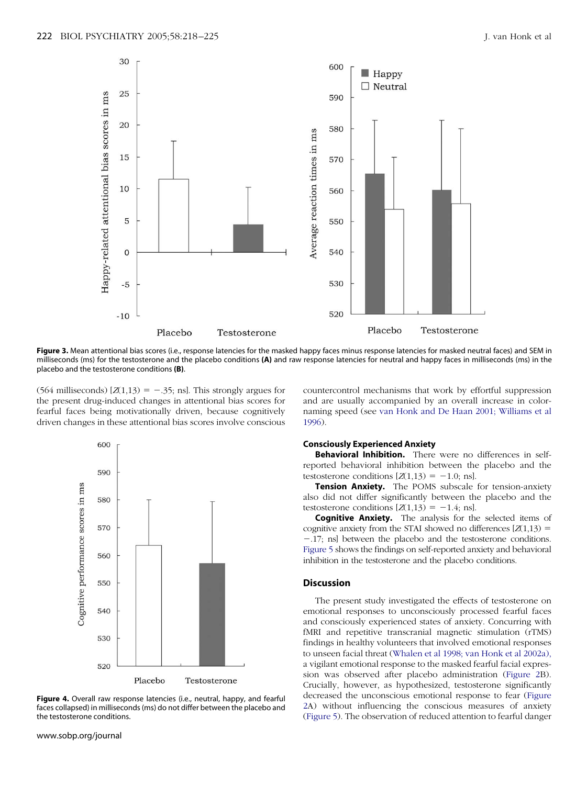<span id="page-4-0"></span>

Figure 3. Mean attentional bias scores (i.e., response latencies for the masked happy faces minus response latencies for masked neutral faces) and SEM in milliseconds (ms) for the testosterone and the placebo conditions **(A)** and raw response latencies for neutral and happy faces in milliseconds (ms) in the placebo and the testosterone conditions **(B)**.

 $(564 \text{ milliseconds}) [Z(1,13) = -.35; \text{ns}]$ . This strongly argues for the present drug-induced changes in attentional bias scores for fearful faces being motivationally driven, because cognitively driven changes in these attentional bias scores involve conscious



**Figure 4.** Overall raw response latencies (i.e., neutral, happy, and fearful faces collapsed) in milliseconds (ms) do not differ between the placebo and the testosterone conditions.

countercontrol mechanisms that work by effortful suppression and are usually accompanied by an overall increase in colornaming speed (see van [Honk](#page-7-0) and De Haan 2001; [Williams](#page-7-0) et al [1996\)](#page-7-0).

# **Consciously Experienced Anxiety**

**Behavioral Inhibition.** There were no differences in selfreported behavioral inhibition between the placebo and the testosterone conditions  $[Z(1,13) = -1.0;$  ns].

**Tension Anxiety.** The POMS subscale for tension-anxiety also did not differ significantly between the placebo and the testosterone conditions  $[Z(1,13) = -1.4;$  ns].

**Cognitive Anxiety.** The analysis for the selected items of cognitive anxiety from the STAI showed no differences  $[Z(1,13)] =$ -.17; ns] between the placebo and the testosterone conditions. [Figure](#page-5-0) 5 shows the findings on self-reported anxiety and behavioral inhibition in the testosterone and the placebo conditions.

# **Discussion**

The present study investigated the effects of testosterone on emotional responses to unconsciously processed fearful faces and consciously experienced states of anxiety. Concurring with fMRI and repetitive transcranial magnetic stimulation (rTMS) findings in healthy volunteers that involved emotional responses to unseen facial threat [\(Whalen](#page-7-0) et al 1998; van Honk et al [2002a\),](#page-7-0) a vigilant emotional response to the masked fearful facial expression was observed after placebo administration [\(Figure](#page-3-0) 2B). Crucially, however, as hypothesized, testosterone significantly decreased the unconscious emotional response to fear [\(Figure](#page-3-0) [2A](#page-3-0)) without influencing the conscious measures of anxiety [\(Figure](#page-5-0) 5). The observation of reduced attention to fearful danger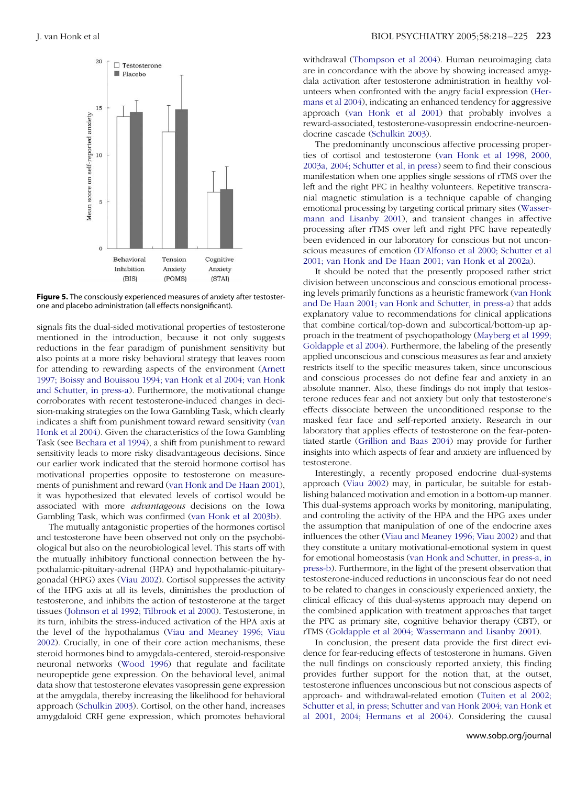<span id="page-5-0"></span>

**Figure 5.** The consciously experienced measures of anxiety after testosterone and placebo administration (all effects nonsignificant).

signals fits the dual-sided motivational properties of testosterone mentioned in the introduction, because it not only suggests reductions in the fear paradigm of punishment sensitivity but also points at a more risky behavioral strategy that leaves room for attending to rewarding aspects of the environment [\(Arnett](#page-6-0) [1997;](#page-6-0) Boissy and [Bouissou](#page-6-0) 1994; van [Honk](#page-7-0) et al 2004; van [Honk](#page-7-0) and [Schutter,](#page-7-0) in press-a). Furthermore, the motivational change corroborates with recent testosterone-induced changes in decision-making strategies on the Iowa Gambling Task, which clearly indicates a shift from punishment toward reward sensitivity [\(van](#page-7-0) Honk et al [2004\).](#page-7-0) Given the characteristics of the Iowa Gambling Task (see [Bechara](#page-6-0) et al 1994), a shift from punishment to reward sensitivity leads to more risky disadvantageous decisions. Since our earlier work indicated that the steroid hormone cortisol has motivational properties opposite to testosterone on measurements of punishment and reward (van Honk and De Haan [2001\),](#page-7-0) it was hypothesized that elevated levels of cortisol would be associated with more *advantageous* decisions on the Iowa Gambling Task, which was confirmed (van Honk et al [2003b\).](#page-7-0)

The mutually antagonistic properties of the hormones cortisol and testosterone have been observed not only on the psychobiological but also on the neurobiological level. This starts off with the mutually inhibitory functional connection between the hypothalamic-pituitary-adrenal (HPA) and hypothalamic-pituitarygonadal (HPG) axes (Viau [2002\)](#page-7-0). Cortisol suppresses the activity of the HPG axis at all its levels, diminishes the production of testosterone, and inhibits the action of testosterone at the target tissues [\(Johnson](#page-6-0) et al 1992; [Tilbrook](#page-7-0) et al 2000). Testosterone, in its turn, inhibits the stress-induced activation of the HPA axis at the level of the hypothalamus (Viau and [Meaney](#page-7-0) 1996; [Viau](#page-7-0) [2002\).](#page-7-0) Crucially, in one of their core action mechanisms, these steroid hormones bind to amygdala-centered, steroid-responsive neuronal networks [\(Wood](#page-7-0) 1996) that regulate and facilitate neuropeptide gene expression. On the behavioral level, animal data show that testosterone elevates vasopressin gene expression at the amygdala, thereby increasing the likelihood for behavioral approach [\(Schulkin](#page-7-0) 2003). Cortisol, on the other hand, increases amygdaloid CRH gene expression, which promotes behavioral withdrawal [\(Thompson](#page-7-0) et al 2004). Human neuroimaging data are in concordance with the above by showing increased amygdala activation after testosterone administration in healthy volunteers when confronted with the angry facial expression [\(Her](#page-6-0)[mans](#page-6-0) et al 2004), indicating an enhanced tendency for aggressive approach (van [Honk](#page-7-0) et al 2001) that probably involves a reward-associated, testosterone-vasopressin endocrine-neuroendocrine cascade [\(Schulkin](#page-7-0) 2003).

The predominantly unconscious affective processing properties of cortisol and testosterone (van [Honk](#page-7-0) et al 1998, [2000,](#page-7-0) [2003a,](#page-7-0) 2004; [Schutter](#page-7-0) et al, in press) seem to find their conscious manifestation when one applies single sessions of rTMS over the left and the right PFC in healthy volunteers. Repetitive transcranial magnetic stimulation is a technique capable of changing emotional processing by targeting cortical primary sites [\(Wasser](#page-7-0)mann and [Lisanby](#page-7-0) 2001), and transient changes in affective processing after rTMS over left and right PFC have repeatedly been evidenced in our laboratory for conscious but not unconscious measures of emotion [\(D'Alfonso](#page-6-0) et al 2000; [Schutter](#page-7-0) et al [2001;](#page-7-0) van [Honk](#page-7-0) and De Haan 2001; van Honk et al [2002a\)](#page-7-0).

It should be noted that the presently proposed rather strict division between unconscious and conscious emotional processing levels primarily functions as a heuristic framework (van [Honk](#page-7-0) and De [Haan](#page-7-0) 2001; van Honk and [Schutter,](#page-7-0) in press-a) that adds explanatory value to recommendations for clinical applications that combine cortical/top-down and subcortical/bottom-up approach in the treatment of psychopathology [\(Mayberg](#page-6-0) et al 1999; [Goldapple](#page-6-0) et al 2004). Furthermore, the labeling of the presently applied unconscious and conscious measures as fear and anxiety restricts itself to the specific measures taken, since unconscious and conscious processes do not define fear and anxiety in an absolute manner. Also, these findings do not imply that testosterone reduces fear and not anxiety but only that testosterone's effects dissociate between the unconditioned response to the masked fear face and self-reported anxiety. Research in our laboratory that applies effects of testosterone on the fear-potentiated startle [\(Grillion](#page-6-0) and Baas 2004) may provide for further insights into which aspects of fear and anxiety are influenced by testosterone.

Interestingly, a recently proposed endocrine dual-systems approach [\(Viau](#page-7-0) 2002) may, in particular, be suitable for establishing balanced motivation and emotion in a bottom-up manner. This dual-systems approach works by monitoring, manipulating, and controling the activity of the HPA and the HPG axes under the assumption that manipulation of one of the endocrine axes influences the other (Viau and [Meaney](#page-7-0) 1996; Viau [2002\)](#page-7-0) and that they constitute a unitary motivational-emotional system in quest for emotional homeostasis (van Honk and [Schutter,](#page-7-0) in press-a, in [press-b\).](#page-7-0) Furthermore, in the light of the present observation that testosterone-induced reductions in unconscious fear do not need to be related to changes in consciously experienced anxiety, the clinical efficacy of this dual-systems approach may depend on the combined application with treatment approaches that target the PFC as primary site, cognitive behavior therapy (CBT), or rTMS [\(Goldapple](#page-6-0) et al 2004; [Wassermann](#page-7-0) and Lisanby 2001).

In conclusion, the present data provide the first direct evidence for fear-reducing effects of testosterone in humans. Given the null findings on consciously reported anxiety, this finding provides further support for the notion that, at the outset, testosterone influences unconscious but not conscious aspects of approach- and withdrawal-related emotion [\(Tuiten](#page-7-0) et al 2002; [Schutter](#page-7-0) et al, in press; [Schutter](#page-7-0) and van Honk 2004; van [Honk](#page-7-0) et al [2001,](#page-7-0) 2004; [Hermans](#page-6-0) et al 2004). Considering the causal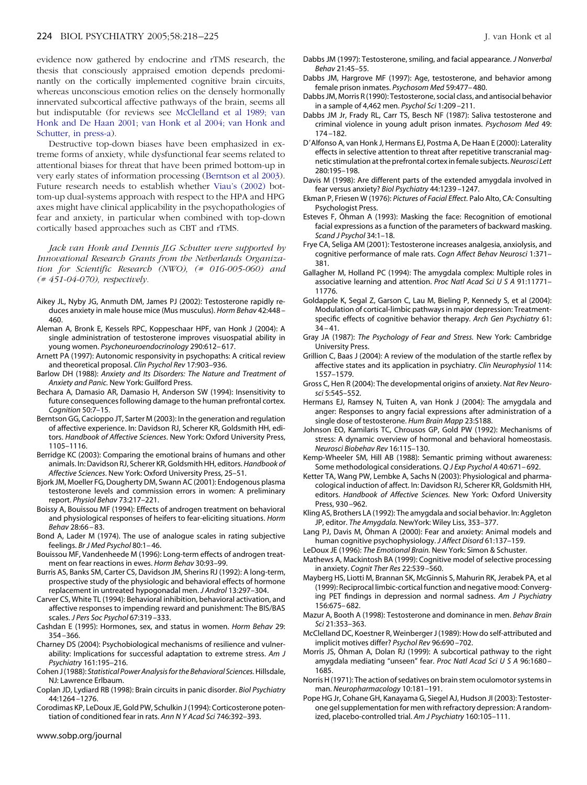<span id="page-6-0"></span>evidence now gathered by endocrine and rTMS research, the thesis that consciously appraised emotion depends predominantly on the cortically implemented cognitive brain circuits, whereas unconscious emotion relies on the densely hormonally innervated subcortical affective pathways of the brain, seems all but indisputable (for reviews see McClelland et al 1989; [van](#page-7-0) [Honk](#page-7-0) and De Haan 2001; van [Honk](#page-7-0) et al 2004; van [Honk](#page-7-0) and [Schutter,](#page-7-0) in press-a).

Destructive top-down biases have been emphasized in extreme forms of anxiety, while dysfunctional fear seems related to attentional biases for threat that have been primed bottom-up in very early states of information processing (Berntson et al 2003). Future research needs to establish whether Viau's [\(2002\)](#page-7-0) bottom-up dual-systems approach with respect to the HPA and HPG axes might have clinical applicability in the psychopathologies of fear and anxiety, in particular when combined with top-down cortically based approaches such as CBT and rTMS.

*Jack van Honk and Dennis JLG Schutter were supported by Innovational Research Grants from the Netherlands Organization for Scientific Research (NWO), (# 016-005-060) and (# 451-04-070), respectively.*

- Aikey JL, Nyby JG, Anmuth DM, James PJ (2002): Testosterone rapidly reduces anxiety in male house mice (Mus musculus). *Horm Behav* 42:448 – 460.
- Aleman A, Bronk E, Kessels RPC, Koppeschaar HPF, van Honk J (2004): A single administration of testosterone improves visuospatial ability in young women. *Psychoneuroendocrinology* 290:612– 617.
- Arnett PA (1997): Autonomic responsivity in psychopaths: A critical review and theoretical proposal. *Clin Psychol Rev* 17:903–936.
- Barlow DH (1988): *Anxiety and Its Disorders: The Nature and Treatment of Anxiety and Panic.* New York: Guilford Press.
- Bechara A, Damasio AR, Damasio H, Anderson SW (1994): Insensitivity to future consequences following damage to the human prefrontal cortex. *Cognition* 50:7–15.
- Berntson GG, Cacioppo JT, Sarter M (2003): In the generation and regulation of affective experience. In: Davidson RJ, Scherer KR, Goldsmith HH, editors. *Handbook of Affective Sciences*. New York: Oxford University Press, 1105–1116.
- Berridge KC (2003): Comparing the emotional brains of humans and other animals. In: Davidson RJ, Scherer KR, Goldsmith HH, editors.*Handbook of Affective Sciences*. New York: Oxford University Press, 25–51.
- Bjork JM, Moeller FG, Dougherty DM, Swann AC (2001): Endogenous plasma testosterone levels and commission errors in women: A preliminary report. *Physiol Behav* 73:217–221.
- Boissy A, Bouissou MF (1994): Effects of androgen treatment on behavioral and physiological responses of heifers to fear-eliciting situations. *Horm Behav* 28:66 – 83.
- Bond A, Lader M (1974). The use of analogue scales in rating subjective feelings. *Br J Med Psychol* 80:1– 46.
- Bouissou MF, Vandenheede M (1996): Long-term effects of androgen treatment on fear reactions in ewes. *Horm Behav* 30:93–99.
- Burris AS, Banks SM, Carter CS, Davidson JM, Sherins RJ (1992): A long-term, prospective study of the physiologic and behavioral effects of hormone replacement in untreated hypogonadal men. *J Androl* 13:297–304.
- Carver CS, White TL (1994): Behavioral inhibition, behavioral activation, and affective responses to impending reward and punishment: The BIS/BAS scales. *J Pers Soc Psychol* 67:319 –333.
- Cashdan E (1995): Hormones, sex, and status in women. *Horm Behav* 29: 354 –366.
- Charney DS (2004): Psychobiological mechanisms of resilience and vulnerability: Implications for successful adaptation to extreme stress. *Am J Psychiatry* 161:195–216.
- Cohen J(1988): *Statistical Power Analysisfor the Behavioral Sciences.*Hillsdale, NJ: Lawrence Erlbaum.
- Coplan JD, Lydiard RB (1998): Brain circuits in panic disorder. *Biol Psychiatry* 44:1264 –1276.

Corodimas KP, LeDoux JE, Gold PW, Schulkin J (1994): Corticosterone potentiation of conditioned fear in rats. *Ann N Y Acad Sci* 746:392–393.

- Dabbs JM (1997): Testosterone, smiling, and facial appearance. *J Nonverbal Behav* 21:45–55.
- Dabbs JM, Hargrove MF (1997): Age, testosterone, and behavior among female prison inmates. *Psychosom Med* 59:477– 480.
- Dabbs JM, Morris R (1990): Testosterone, social class, and antisocial behavior in a sample of 4,462 men. *Psychol Sci* 1:209 –211.
- Dabbs JM Jr, Frady RL, Carr TS, Besch NF (1987): Saliva testosterone and criminal violence in young adult prison inmates. *Psychosom Med* 49: 174 –182.
- D'Alfonso A, van Honk J, Hermans EJ, Postma A, De Haan E (2000): Laterality effects in selective attention to threat after repetitive transcranial magnetic stimulation at the prefrontal cortex infemale subjects.*Neurosci Lett* 280:195–198.
- Davis M (1998): Are different parts of the extended amygdala involved in fear versus anxiety? *Biol Psychiatry* 44:1239 –1247.
- Ekman P, Friesen W (1976): *Pictures of Facial Effect.* Palo Alto, CA: Consulting Psychologist Press.
- Esteves F, Öhman A (1993): Masking the face: Recognition of emotional facial expressions as a function of the parameters of backward masking. *Scand J Psychol* 34:1–18.
- Frye CA, Seliga AM (2001): Testosterone increases analgesia, anxiolysis, and cognitive performance of male rats. *Cogn Affect Behav Neurosci* 1:371– 381.
- Gallagher M, Holland PC (1994): The amygdala complex: Multiple roles in associative learning and attention. *Proc Natl Acad SciUSA* 91:11771– 11776.
- Goldapple K, Segal Z, Garson C, Lau M, Bieling P, Kennedy S, et al (2004): Modulation of cortical-limbic pathways in major depression: Treatmentspecific effects of cognitive behavior therapy. *Arch Gen Psychiatry* 61:  $34 - 41$ .
- Gray JA (1987): *The Psychology of Fear and Stress.* New York: Cambridge University Press.
- Grillion C, Baas J (2004): A review of the modulation of the startle reflex by affective states and its application in psychiatry. *Clin Neurophysiol* 114: 1557–1579.
- Gross C, Hen R (2004): The developmental origins of anxiety. *Nat Rev Neurosci* 5:545–552.
- Hermans EJ, Ramsey N, Tuiten A, van Honk J (2004): The amygdala and anger: Responses to angry facial expressions after administration of a single dose of testosterone. *Hum Brain Mapp* 23:S188.
- Johnson EO, Kamilaris TC, Chrousos GP, Gold PW (1992): Mechanisms of stress: A dynamic overview of hormonal and behavioral homeostasis. *Neurosci Biobehav Rev* 16:115–130.
- Kemp-Wheeler SM, Hill AB (1988): Semantic priming without awareness: Some methodological considerations. *Q J Exp Psychol A* 40:671– 692.
- Ketter TA, Wang PW, Lembke A, Sachs N (2003): Physiological and pharmacological induction of affect. In: Davidson RJ, Scherer KR, Goldsmith HH, editors. *Handbook of Affective Sciences.* New York: Oxford University Press, 930 –962.
- Kling AS, Brothers LA (1992): The amygdala and social behavior. In: Aggleton JP, editor. *The Amygdala.* NewYork: Wiley Liss, 353–377.
- Lang PJ, Davis M, Öhman A (2000): Fear and anxiety: Animal models and human cognitive psychophysiology. *J Affect Disord* 61:137–159.
- LeDoux JE (1996): *The Emotional Brain.* New York: Simon & Schuster.

Mathews A, Mackintosh BA (1999): Cognitive model of selective processing in anxiety. *Cognit Ther Res* 22:539 –560.

- Mayberg HS, Liotti M, Brannan SK, McGinnis S, Mahurin RK, Jerabek PA, et al (1999): Reciprocal limbic-cortical function and negative mood: Converging PET findings in depression and normal sadness. *Am J Psychiatry* 156:675– 682.
- Mazur A, Booth A (1998): Testosterone and dominance in men. *Behav Brain Sci* 21:353–363.
- McClelland DC, Koestner R, Weinberger J (1989): How do self-attributed and implicit motives differ? *Psychol Rev* 96:690 –702.
- Morris JS, Öhman A, Dolan RJ (1999): A subcortical pathway to the right amygdala mediating "unseen" fear. *Proc Natl Acad SciUSA* 96:1680 – 1685.
- Norris H (1971): The action of sedatives on brain stem oculomotor systems in man. *Neuropharmacology* 10:181–191.
- Pope HG Jr, Cohane GH, Kanayama G, Siegel AJ, Hudson JI (2003): Testosterone gel supplementation for men with refractory depression: A randomized, placebo-controlled trial. *Am J Psychiatry* 160:105–111.